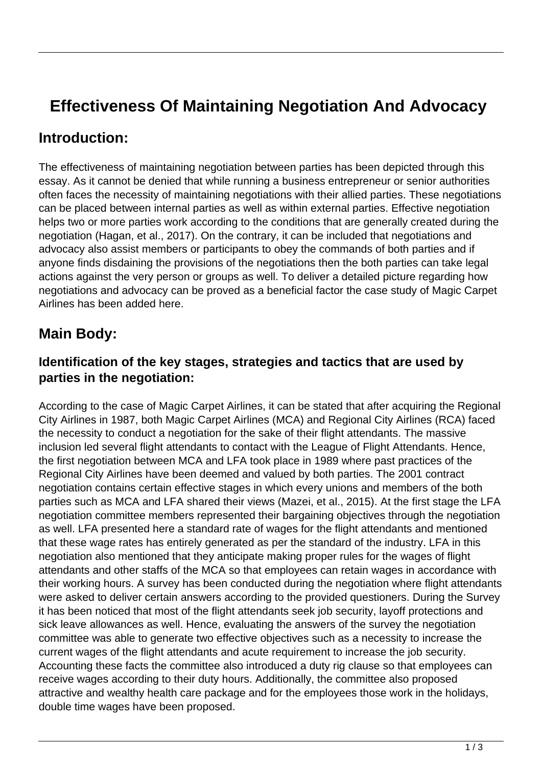# **Effectiveness Of Maintaining Negotiation And Advocacy**

### **Introduction:**

The effectiveness of maintaining negotiation between parties has been depicted through this essay. As it cannot be denied that while running a business entrepreneur or senior authorities often faces the necessity of maintaining negotiations with their allied parties. These negotiations can be placed between internal parties as well as within external parties. Effective negotiation helps two or more parties work according to the conditions that are generally created during the negotiation (Hagan, et al., 2017). On the contrary, it can be included that negotiations and advocacy also assist members or participants to obey the commands of both parties and if anyone finds disdaining the provisions of the negotiations then the both parties can take legal actions against the very person or groups as well. To deliver a detailed picture regarding how negotiations and advocacy can be proved as a beneficial factor the case study of Magic Carpet Airlines has been added here.

## **Main Body:**

#### **Identification of the key stages, strategies and tactics that are used by parties in the negotiation:**

According to the case of Magic Carpet Airlines, it can be stated that after acquiring the Regional City Airlines in 1987, both Magic Carpet Airlines (MCA) and Regional City Airlines (RCA) faced the necessity to conduct a negotiation for the sake of their flight attendants. The massive inclusion led several flight attendants to contact with the League of Flight Attendants. Hence, the first negotiation between MCA and LFA took place in 1989 where past practices of the Regional City Airlines have been deemed and valued by both parties. The 2001 contract negotiation contains certain effective stages in which every unions and members of the both parties such as MCA and LFA shared their views (Mazei, et al., 2015). At the first stage the LFA negotiation committee members represented their bargaining objectives through the negotiation as well. LFA presented here a standard rate of wages for the flight attendants and mentioned that these wage rates has entirely generated as per the standard of the industry. LFA in this negotiation also mentioned that they anticipate making proper rules for the wages of flight attendants and other staffs of the MCA so that employees can retain wages in accordance with their working hours. A survey has been conducted during the negotiation where flight attendants were asked to deliver certain answers according to the provided questioners. During the Survey it has been noticed that most of the flight attendants seek job security, layoff protections and sick leave allowances as well. Hence, evaluating the answers of the survey the negotiation committee was able to generate two effective objectives such as a necessity to increase the current wages of the flight attendants and acute requirement to increase the job security. Accounting these facts the committee also introduced a duty rig clause so that employees can receive wages according to their duty hours. Additionally, the committee also proposed attractive and wealthy health care package and for the employees those work in the holidays, double time wages have been proposed.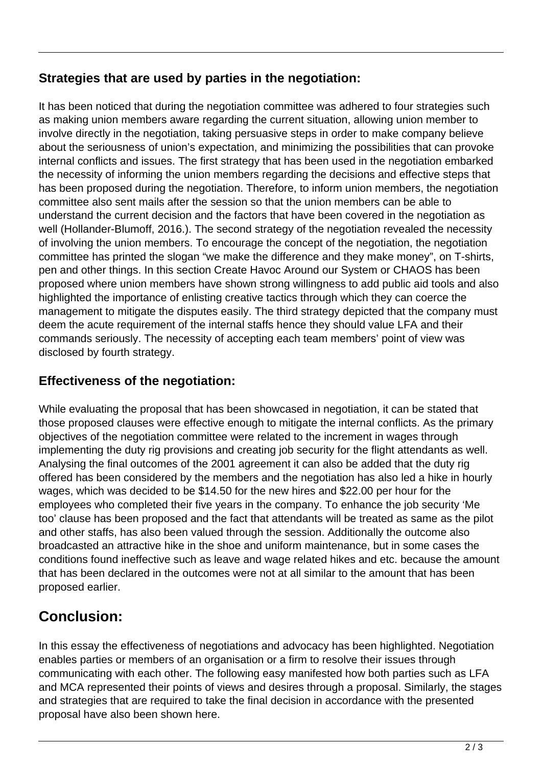#### **Strategies that are used by parties in the negotiation:**

It has been noticed that during the negotiation committee was adhered to four strategies such as making union members aware regarding the current situation, allowing union member to involve directly in the negotiation, taking persuasive steps in order to make company believe about the seriousness of union's expectation, and minimizing the possibilities that can provoke internal conflicts and issues. The first strategy that has been used in the negotiation embarked the necessity of informing the union members regarding the decisions and effective steps that has been proposed during the negotiation. Therefore, to inform union members, the negotiation committee also sent mails after the session so that the union members can be able to understand the current decision and the factors that have been covered in the negotiation as well (Hollander-Blumoff, 2016.). The second strategy of the negotiation revealed the necessity of involving the union members. To encourage the concept of the negotiation, the negotiation committee has printed the slogan "we make the difference and they make money", on T-shirts, pen and other things. In this section Create Havoc Around our System or CHAOS has been proposed where union members have shown strong willingness to add public aid tools and also highlighted the importance of enlisting creative tactics through which they can coerce the management to mitigate the disputes easily. The third strategy depicted that the company must deem the acute requirement of the internal staffs hence they should value LFA and their commands seriously. The necessity of accepting each team members' point of view was disclosed by fourth strategy.

#### **Effectiveness of the negotiation:**

While evaluating the proposal that has been showcased in negotiation, it can be stated that those proposed clauses were effective enough to mitigate the internal conflicts. As the primary objectives of the negotiation committee were related to the increment in wages through implementing the duty rig provisions and creating job security for the flight attendants as well. Analysing the final outcomes of the 2001 agreement it can also be added that the duty rig offered has been considered by the members and the negotiation has also led a hike in hourly wages, which was decided to be \$14.50 for the new hires and \$22.00 per hour for the employees who completed their five years in the company. To enhance the job security 'Me too' clause has been proposed and the fact that attendants will be treated as same as the pilot and other staffs, has also been valued through the session. Additionally the outcome also broadcasted an attractive hike in the shoe and uniform maintenance, but in some cases the conditions found ineffective such as leave and wage related hikes and etc. because the amount that has been declared in the outcomes were not at all similar to the amount that has been proposed earlier.

# **Conclusion:**

In this essay the effectiveness of negotiations and advocacy has been highlighted. Negotiation enables parties or members of an organisation or a firm to resolve their issues through communicating with each other. The following easy manifested how both parties such as LFA and MCA represented their points of views and desires through a proposal. Similarly, the stages and strategies that are required to take the final decision in accordance with the presented proposal have also been shown here.